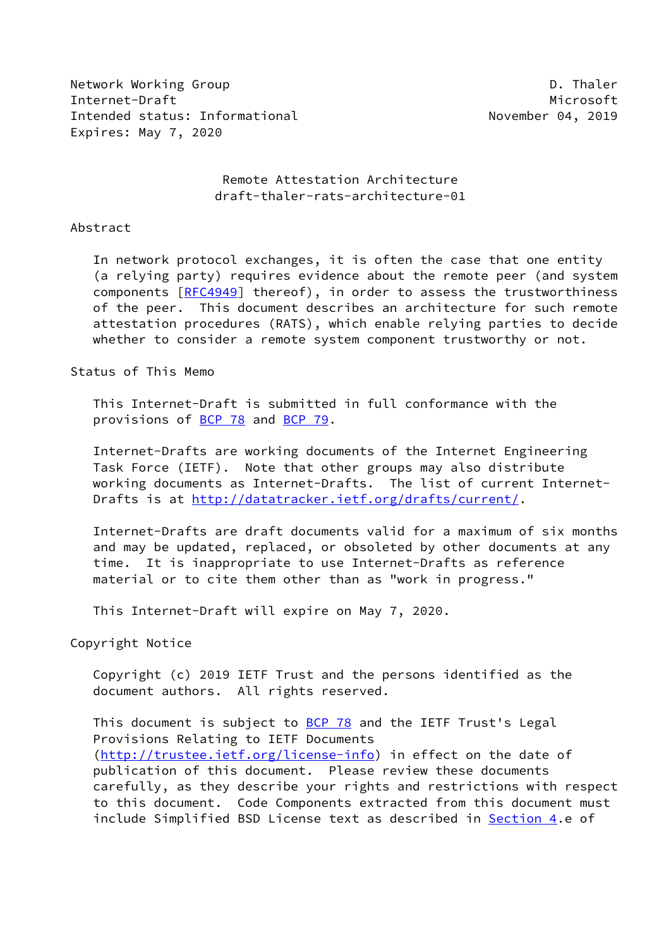Network Working Group **D. Thaler** Internet-Draft Microsoft Microsoft Microsoft Microsoft Microsoft Intended status: Informational November 04, 2019 Expires: May 7, 2020

## Remote Attestation Architecture draft-thaler-rats-architecture-01

#### Abstract

 In network protocol exchanges, it is often the case that one entity (a relying party) requires evidence about the remote peer (and system components [[RFC4949\]](https://datatracker.ietf.org/doc/pdf/rfc4949) thereof), in order to assess the trustworthiness of the peer. This document describes an architecture for such remote attestation procedures (RATS), which enable relying parties to decide whether to consider a remote system component trustworthy or not.

## Status of This Memo

 This Internet-Draft is submitted in full conformance with the provisions of [BCP 78](https://datatracker.ietf.org/doc/pdf/bcp78) and [BCP 79](https://datatracker.ietf.org/doc/pdf/bcp79).

 Internet-Drafts are working documents of the Internet Engineering Task Force (IETF). Note that other groups may also distribute working documents as Internet-Drafts. The list of current Internet Drafts is at<http://datatracker.ietf.org/drafts/current/>.

 Internet-Drafts are draft documents valid for a maximum of six months and may be updated, replaced, or obsoleted by other documents at any time. It is inappropriate to use Internet-Drafts as reference material or to cite them other than as "work in progress."

This Internet-Draft will expire on May 7, 2020.

Copyright Notice

 Copyright (c) 2019 IETF Trust and the persons identified as the document authors. All rights reserved.

This document is subject to **[BCP 78](https://datatracker.ietf.org/doc/pdf/bcp78)** and the IETF Trust's Legal Provisions Relating to IETF Documents [\(http://trustee.ietf.org/license-info](http://trustee.ietf.org/license-info)) in effect on the date of publication of this document. Please review these documents carefully, as they describe your rights and restrictions with respect to this document. Code Components extracted from this document must include Simplified BSD License text as described in [Section 4.](#page-6-0)e of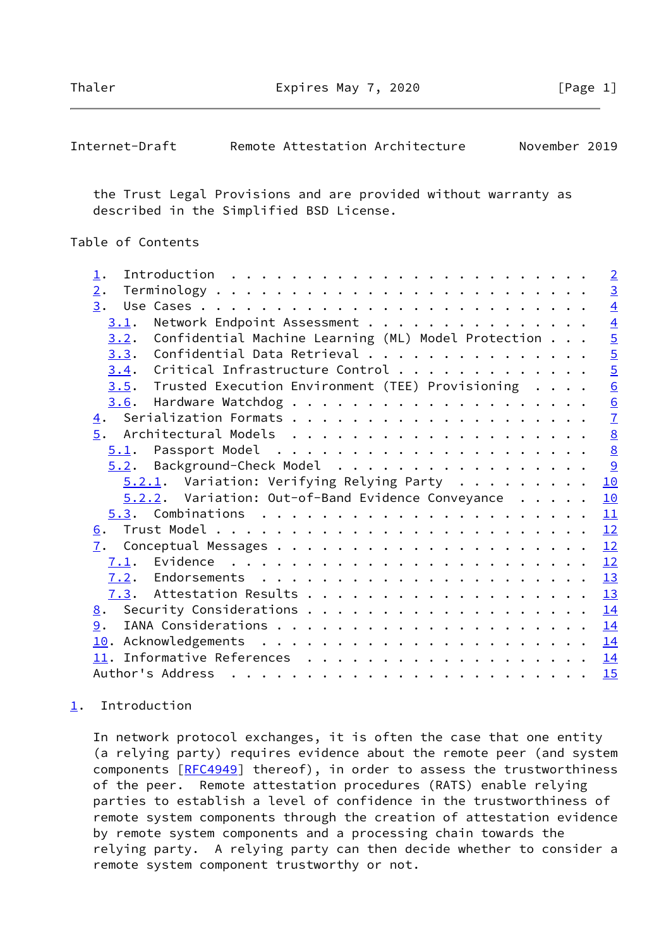Thaler **Expires May 7, 2020** [Page 1]

<span id="page-1-1"></span>

| November 2019<br>Remote Attestation Architecture<br>Internet-Draft |  |
|--------------------------------------------------------------------|--|
|--------------------------------------------------------------------|--|

 the Trust Legal Provisions and are provided without warranty as described in the Simplified BSD License.

# Table of Contents

| $\perp$ .                                                                                                                                                                                                                                                                                                                                                                                                                                                                      |  | $\overline{2}$  |
|--------------------------------------------------------------------------------------------------------------------------------------------------------------------------------------------------------------------------------------------------------------------------------------------------------------------------------------------------------------------------------------------------------------------------------------------------------------------------------|--|-----------------|
| 2.                                                                                                                                                                                                                                                                                                                                                                                                                                                                             |  | $\overline{3}$  |
| 3.                                                                                                                                                                                                                                                                                                                                                                                                                                                                             |  | $\overline{4}$  |
| Network Endpoint Assessment<br>3.1.                                                                                                                                                                                                                                                                                                                                                                                                                                            |  | $\overline{4}$  |
| Confidential Machine Learning (ML) Model Protection<br>3.2.                                                                                                                                                                                                                                                                                                                                                                                                                    |  | $\overline{5}$  |
| Confidential Data Retrieval<br>3.3.                                                                                                                                                                                                                                                                                                                                                                                                                                            |  | $\overline{5}$  |
| Critical Infrastructure Control<br>3.4.                                                                                                                                                                                                                                                                                                                                                                                                                                        |  | $\overline{5}$  |
| $3.5$ . Trusted Execution Environment (TEE) Provisioning                                                                                                                                                                                                                                                                                                                                                                                                                       |  | $\underline{6}$ |
| 3.6.                                                                                                                                                                                                                                                                                                                                                                                                                                                                           |  |                 |
|                                                                                                                                                                                                                                                                                                                                                                                                                                                                                |  | $\frac{6}{7}$   |
| $\overline{5}$ .                                                                                                                                                                                                                                                                                                                                                                                                                                                               |  | $\underline{8}$ |
|                                                                                                                                                                                                                                                                                                                                                                                                                                                                                |  | $\underline{8}$ |
| 5.2. Background-Check Model                                                                                                                                                                                                                                                                                                                                                                                                                                                    |  | 9               |
| $5.2.1$ . Variation: Verifying Relying Party                                                                                                                                                                                                                                                                                                                                                                                                                                   |  | 10              |
| $5.2.2.$ Variation: Out-of-Band Evidence Conveyance                                                                                                                                                                                                                                                                                                                                                                                                                            |  | 10              |
|                                                                                                                                                                                                                                                                                                                                                                                                                                                                                |  | 11              |
| 6.                                                                                                                                                                                                                                                                                                                                                                                                                                                                             |  | 12              |
| 7.                                                                                                                                                                                                                                                                                                                                                                                                                                                                             |  | 12              |
|                                                                                                                                                                                                                                                                                                                                                                                                                                                                                |  | 12              |
|                                                                                                                                                                                                                                                                                                                                                                                                                                                                                |  | 13              |
|                                                                                                                                                                                                                                                                                                                                                                                                                                                                                |  | 13              |
|                                                                                                                                                                                                                                                                                                                                                                                                                                                                                |  | 14              |
| 9.                                                                                                                                                                                                                                                                                                                                                                                                                                                                             |  | 14              |
|                                                                                                                                                                                                                                                                                                                                                                                                                                                                                |  | 14              |
|                                                                                                                                                                                                                                                                                                                                                                                                                                                                                |  | <u>14</u>       |
| Author's Address<br>$\mathbf{a}^{\top} \cdot \mathbf{a}^{\top} \cdot \mathbf{a}^{\top} \cdot \mathbf{a}^{\top} \cdot \mathbf{a}^{\top} \cdot \mathbf{a}^{\top} \cdot \mathbf{a}^{\top} \cdot \mathbf{a}^{\top} \cdot \mathbf{a}^{\top} \cdot \mathbf{a}^{\top} \cdot \mathbf{a}^{\top} \cdot \mathbf{a}^{\top} \cdot \mathbf{a}^{\top} \cdot \mathbf{a}^{\top} \cdot \mathbf{a}^{\top} \cdot \mathbf{a}^{\top} \cdot \mathbf{a}^{\top} \cdot \mathbf{a}^{\top} \cdot \mathbf{$ |  | 15              |
|                                                                                                                                                                                                                                                                                                                                                                                                                                                                                |  |                 |

# <span id="page-1-0"></span>[1](#page-1-0). Introduction

 In network protocol exchanges, it is often the case that one entity (a relying party) requires evidence about the remote peer (and system components [[RFC4949\]](https://datatracker.ietf.org/doc/pdf/rfc4949) thereof), in order to assess the trustworthiness of the peer. Remote attestation procedures (RATS) enable relying parties to establish a level of confidence in the trustworthiness of remote system components through the creation of attestation evidence by remote system components and a processing chain towards the relying party. A relying party can then decide whether to consider a remote system component trustworthy or not.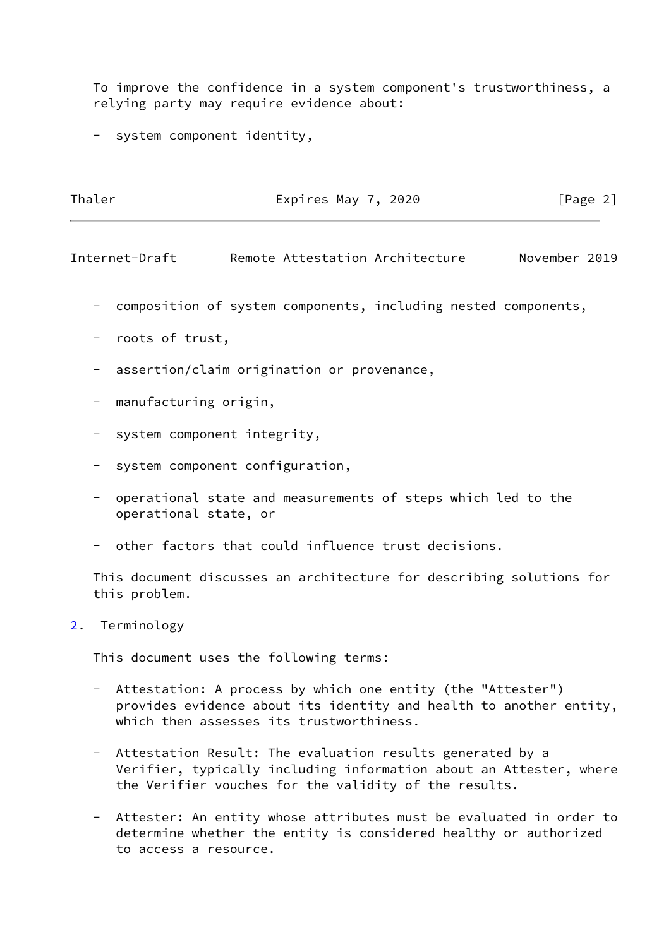To improve the confidence in a system component's trustworthiness, a relying party may require evidence about:

- system component identity,

| Thaler | Expires May 7, 2020 | [Page 2] |
|--------|---------------------|----------|
|        |                     |          |

<span id="page-2-1"></span>Internet-Draft Remote Attestation Architecture November 2019

- composition of system components, including nested components,
- roots of trust,
- assertion/claim origination or provenance,
- manufacturing origin,
- system component integrity,
- system component configuration,
- operational state and measurements of steps which led to the operational state, or
- other factors that could influence trust decisions.

 This document discusses an architecture for describing solutions for this problem.

<span id="page-2-0"></span>[2](#page-2-0). Terminology

This document uses the following terms:

- Attestation: A process by which one entity (the "Attester") provides evidence about its identity and health to another entity, which then assesses its trustworthiness.
- Attestation Result: The evaluation results generated by a Verifier, typically including information about an Attester, where the Verifier vouches for the validity of the results.
- Attester: An entity whose attributes must be evaluated in order to determine whether the entity is considered healthy or authorized to access a resource.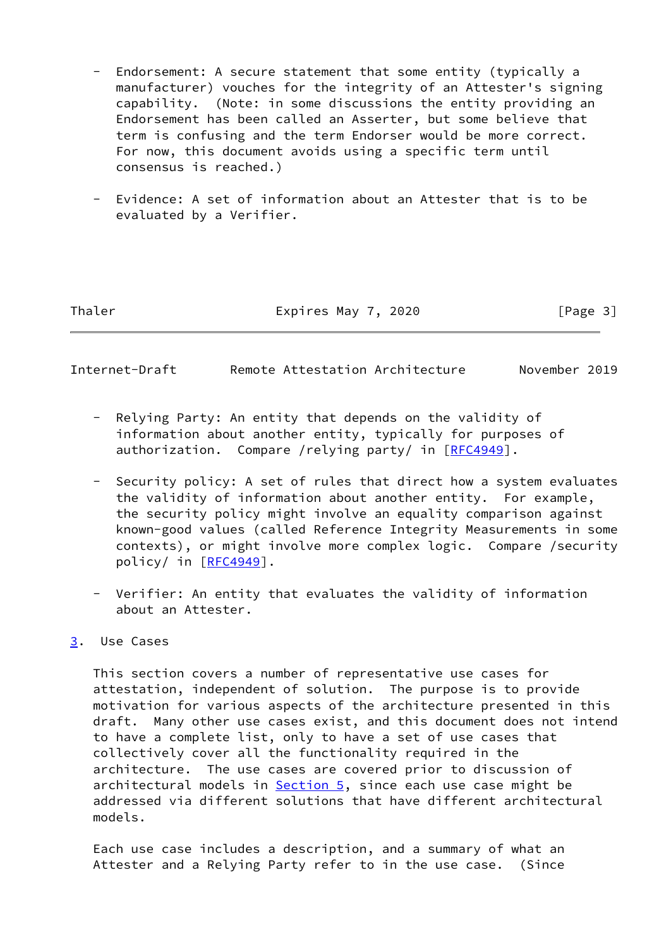- Endorsement: A secure statement that some entity (typically a manufacturer) vouches for the integrity of an Attester's signing capability. (Note: in some discussions the entity providing an Endorsement has been called an Asserter, but some believe that term is confusing and the term Endorser would be more correct. For now, this document avoids using a specific term until consensus is reached.)
- Evidence: A set of information about an Attester that is to be evaluated by a Verifier.

Thaler **Expires May 7, 2020** [Page 3]

<span id="page-3-1"></span>Internet-Draft Remote Attestation Architecture November 2019

- Relying Party: An entity that depends on the validity of information about another entity, typically for purposes of authorization. Compare /relying party/ in [[RFC4949](https://datatracker.ietf.org/doc/pdf/rfc4949)].
- Security policy: A set of rules that direct how a system evaluates the validity of information about another entity. For example, the security policy might involve an equality comparison against known-good values (called Reference Integrity Measurements in some contexts), or might involve more complex logic. Compare /security policy/ in [[RFC4949](https://datatracker.ietf.org/doc/pdf/rfc4949)].
- Verifier: An entity that evaluates the validity of information about an Attester.

# <span id="page-3-0"></span>[3](#page-3-0). Use Cases

 This section covers a number of representative use cases for attestation, independent of solution. The purpose is to provide motivation for various aspects of the architecture presented in this draft. Many other use cases exist, and this document does not intend to have a complete list, only to have a set of use cases that collectively cover all the functionality required in the architecture. The use cases are covered prior to discussion of architectural models in [Section 5](#page-7-0), since each use case might be addressed via different solutions that have different architectural models.

 Each use case includes a description, and a summary of what an Attester and a Relying Party refer to in the use case. (Since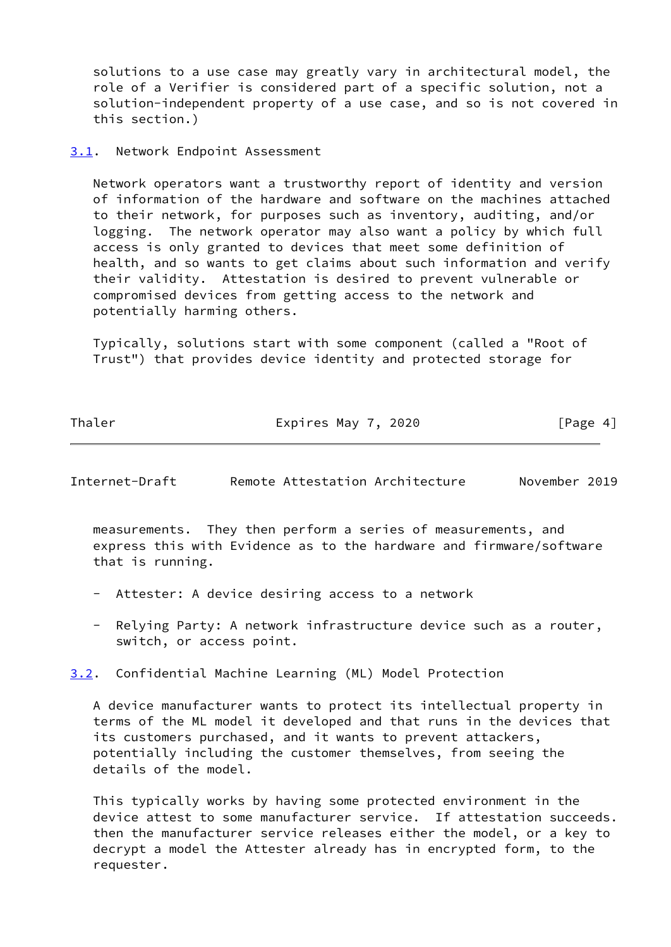solutions to a use case may greatly vary in architectural model, the role of a Verifier is considered part of a specific solution, not a solution-independent property of a use case, and so is not covered in this section.)

#### <span id="page-4-0"></span>[3.1](#page-4-0). Network Endpoint Assessment

 Network operators want a trustworthy report of identity and version of information of the hardware and software on the machines attached to their network, for purposes such as inventory, auditing, and/or logging. The network operator may also want a policy by which full access is only granted to devices that meet some definition of health, and so wants to get claims about such information and verify their validity. Attestation is desired to prevent vulnerable or compromised devices from getting access to the network and potentially harming others.

 Typically, solutions start with some component (called a "Root of Trust") that provides device identity and protected storage for

Thaler **Expires May 7, 2020** [Page 4]

<span id="page-4-2"></span>Internet-Draft Remote Attestation Architecture November 2019

 measurements. They then perform a series of measurements, and express this with Evidence as to the hardware and firmware/software that is running.

- Attester: A device desiring access to a network
- Relying Party: A network infrastructure device such as a router, switch, or access point.

<span id="page-4-1"></span>[3.2](#page-4-1). Confidential Machine Learning (ML) Model Protection

 A device manufacturer wants to protect its intellectual property in terms of the ML model it developed and that runs in the devices that its customers purchased, and it wants to prevent attackers, potentially including the customer themselves, from seeing the details of the model.

 This typically works by having some protected environment in the device attest to some manufacturer service. If attestation succeeds. then the manufacturer service releases either the model, or a key to decrypt a model the Attester already has in encrypted form, to the requester.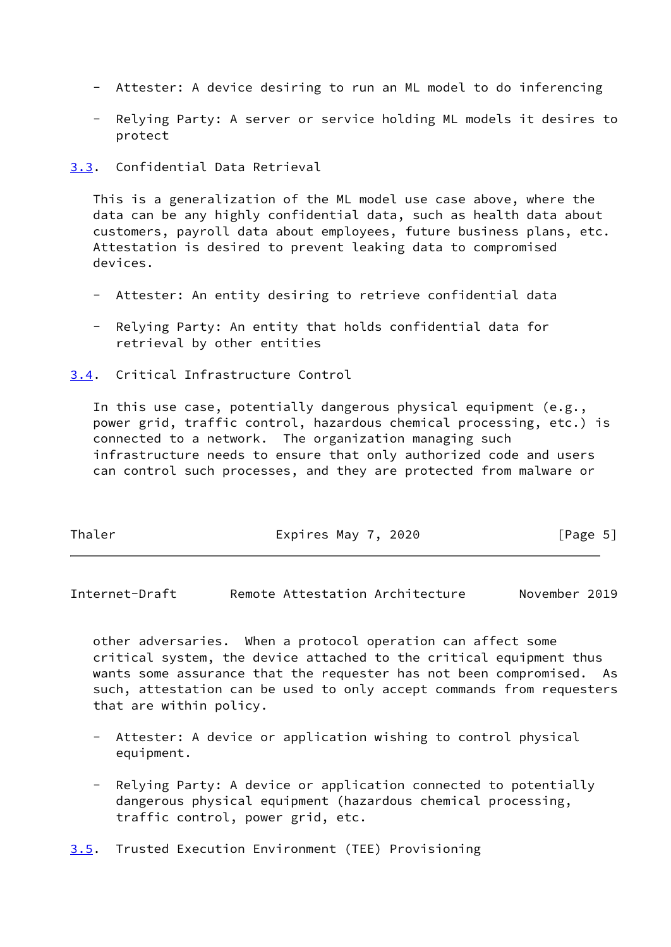- Attester: A device desiring to run an ML model to do inferencing
- Relying Party: A server or service holding ML models it desires to protect

<span id="page-5-0"></span>[3.3](#page-5-0). Confidential Data Retrieval

 This is a generalization of the ML model use case above, where the data can be any highly confidential data, such as health data about customers, payroll data about employees, future business plans, etc. Attestation is desired to prevent leaking data to compromised devices.

- Attester: An entity desiring to retrieve confidential data
- Relying Party: An entity that holds confidential data for retrieval by other entities

<span id="page-5-1"></span>[3.4](#page-5-1). Critical Infrastructure Control

 In this use case, potentially dangerous physical equipment (e.g., power grid, traffic control, hazardous chemical processing, etc.) is connected to a network. The organization managing such infrastructure needs to ensure that only authorized code and users can control such processes, and they are protected from malware or

| Thaler<br>[Page 5]<br>Expires May 7, 2020 |  |
|-------------------------------------------|--|
|-------------------------------------------|--|

<span id="page-5-3"></span>Internet-Draft Remote Attestation Architecture November 2019

 other adversaries. When a protocol operation can affect some critical system, the device attached to the critical equipment thus wants some assurance that the requester has not been compromised. As such, attestation can be used to only accept commands from requesters that are within policy.

- Attester: A device or application wishing to control physical equipment.
- Relying Party: A device or application connected to potentially dangerous physical equipment (hazardous chemical processing, traffic control, power grid, etc.

<span id="page-5-2"></span>[3.5](#page-5-2). Trusted Execution Environment (TEE) Provisioning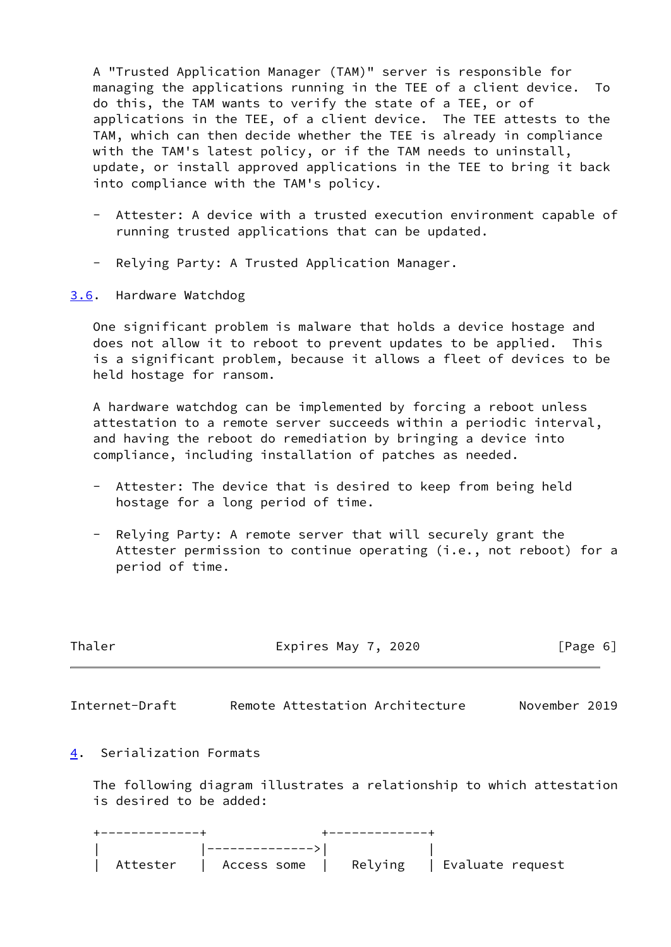A "Trusted Application Manager (TAM)" server is responsible for managing the applications running in the TEE of a client device. To do this, the TAM wants to verify the state of a TEE, or of applications in the TEE, of a client device. The TEE attests to the TAM, which can then decide whether the TEE is already in compliance with the TAM's latest policy, or if the TAM needs to uninstall, update, or install approved applications in the TEE to bring it back into compliance with the TAM's policy.

- Attester: A device with a trusted execution environment capable of running trusted applications that can be updated.
- Relying Party: A Trusted Application Manager.

## <span id="page-6-1"></span>[3.6](#page-6-1). Hardware Watchdog

 One significant problem is malware that holds a device hostage and does not allow it to reboot to prevent updates to be applied. This is a significant problem, because it allows a fleet of devices to be held hostage for ransom.

 A hardware watchdog can be implemented by forcing a reboot unless attestation to a remote server succeeds within a periodic interval, and having the reboot do remediation by bringing a device into compliance, including installation of patches as needed.

- Attester: The device that is desired to keep from being held hostage for a long period of time.
- Relying Party: A remote server that will securely grant the Attester permission to continue operating (i.e., not reboot) for a period of time.

<span id="page-6-2"></span>

| Thaler                   | Expires May 7, 2020                                                   | [Page 6]      |  |  |
|--------------------------|-----------------------------------------------------------------------|---------------|--|--|
| Internet-Draft           | Remote Attestation Architecture                                       | November 2019 |  |  |
| 4. Serialization Formats |                                                                       |               |  |  |
| is desired to be added:  | The following diagram illustrates a relationship to which attestation |               |  |  |
| ------------+            | $+ - - - - - - - - - - +$<br>-------------->                          |               |  |  |

<span id="page-6-0"></span>| Attester | Access some | Relying | Evaluate request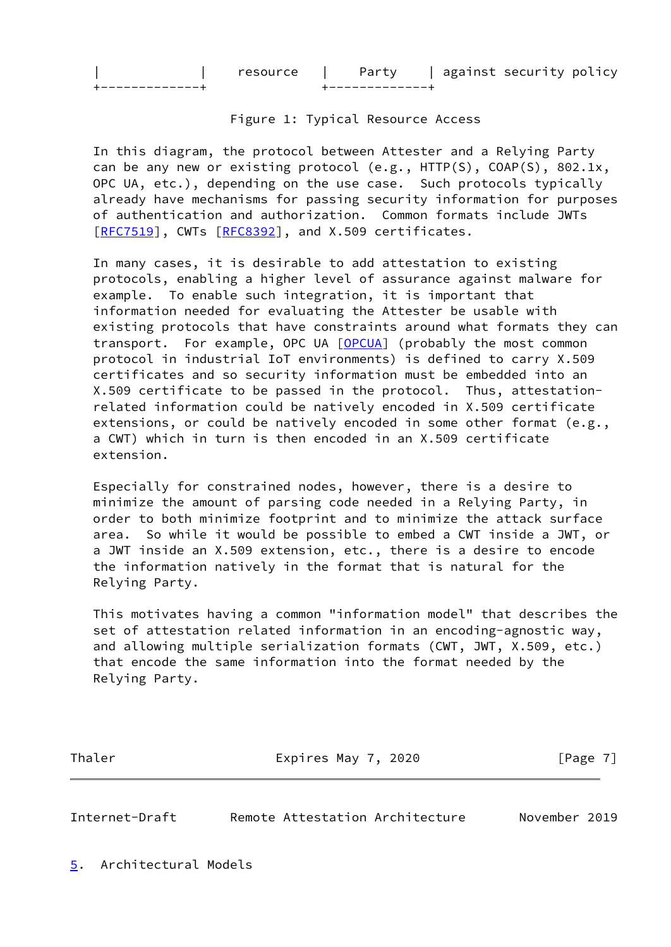| resource |  |  | against security policy |  |
|----------|--|--|-------------------------|--|
|          |  |  |                         |  |

Figure 1: Typical Resource Access

 In this diagram, the protocol between Attester and a Relying Party can be any new or existing protocol (e.g., HTTP(S), COAP(S), 802.1x, OPC UA, etc.), depending on the use case. Such protocols typically already have mechanisms for passing security information for purposes of authentication and authorization. Common formats include JWTs [\[RFC7519](https://datatracker.ietf.org/doc/pdf/rfc7519)], CWTs [\[RFC8392](https://datatracker.ietf.org/doc/pdf/rfc8392)], and X.509 certificates.

 In many cases, it is desirable to add attestation to existing protocols, enabling a higher level of assurance against malware for example. To enable such integration, it is important that information needed for evaluating the Attester be usable with existing protocols that have constraints around what formats they can transport. For example, OPC UA [\[OPCUA](#page-15-5)] (probably the most common protocol in industrial IoT environments) is defined to carry X.509 certificates and so security information must be embedded into an X.509 certificate to be passed in the protocol. Thus, attestation related information could be natively encoded in X.509 certificate extensions, or could be natively encoded in some other format (e.g., a CWT) which in turn is then encoded in an X.509 certificate extension.

 Especially for constrained nodes, however, there is a desire to minimize the amount of parsing code needed in a Relying Party, in order to both minimize footprint and to minimize the attack surface area. So while it would be possible to embed a CWT inside a JWT, or a JWT inside an X.509 extension, etc., there is a desire to encode the information natively in the format that is natural for the Relying Party.

 This motivates having a common "information model" that describes the set of attestation related information in an encoding-agnostic way, and allowing multiple serialization formats (CWT, JWT, X.509, etc.) that encode the same information into the format needed by the Relying Party.

Thaler **Expires May 7, 2020** [Page 7]

<span id="page-7-1"></span>Internet-Draft Remote Attestation Architecture November 2019

<span id="page-7-0"></span>[5](#page-7-0). Architectural Models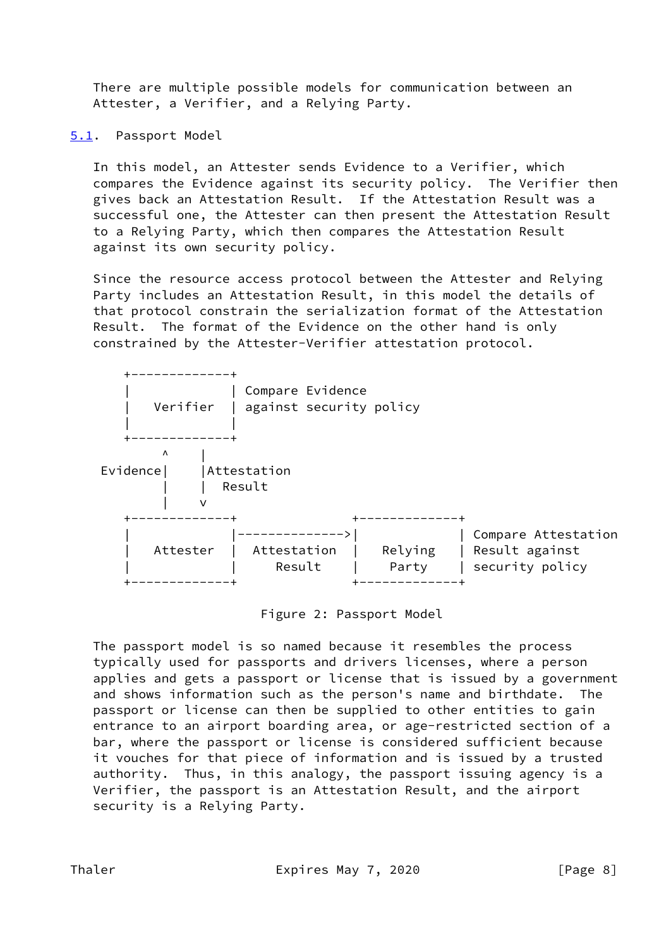There are multiple possible models for communication between an Attester, a Verifier, and a Relying Party.

<span id="page-8-0"></span>[5.1](#page-8-0). Passport Model

 In this model, an Attester sends Evidence to a Verifier, which compares the Evidence against its security policy. The Verifier then gives back an Attestation Result. If the Attestation Result was a successful one, the Attester can then present the Attestation Result to a Relying Party, which then compares the Attestation Result against its own security policy.

 Since the resource access protocol between the Attester and Relying Party includes an Attestation Result, in this model the details of that protocol constrain the serialization format of the Attestation Result. The format of the Evidence on the other hand is only constrained by the Attester-Verifier attestation protocol.

| Verifier            | Compare Evidence<br>against security policy |                  |                                                          |
|---------------------|---------------------------------------------|------------------|----------------------------------------------------------|
| Λ<br>Evidence <br>v | Attestation<br>Result                       |                  |                                                          |
| Attester            | Attestation<br>Result                       | Relying<br>Party | Compare Attestation<br>Result against<br>security policy |

Figure 2: Passport Model

 The passport model is so named because it resembles the process typically used for passports and drivers licenses, where a person applies and gets a passport or license that is issued by a government and shows information such as the person's name and birthdate. The passport or license can then be supplied to other entities to gain entrance to an airport boarding area, or age-restricted section of a bar, where the passport or license is considered sufficient because it vouches for that piece of information and is issued by a trusted authority. Thus, in this analogy, the passport issuing agency is a Verifier, the passport is an Attestation Result, and the airport security is a Relying Party.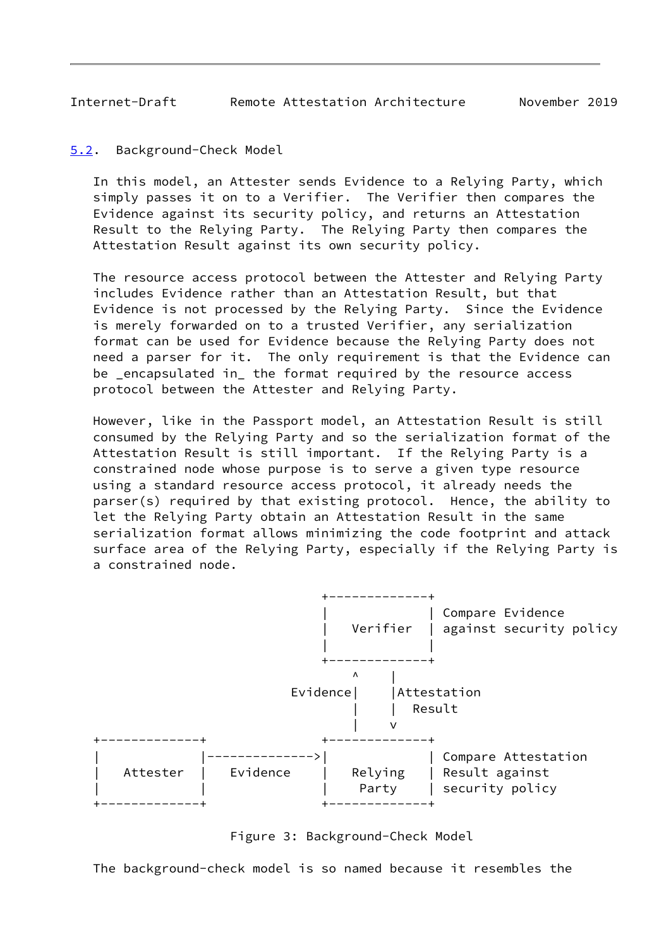<span id="page-9-1"></span>Internet-Draft Remote Attestation Architecture November 2019

<span id="page-9-0"></span>[5.2](#page-9-0). Background-Check Model

 In this model, an Attester sends Evidence to a Relying Party, which simply passes it on to a Verifier. The Verifier then compares the Evidence against its security policy, and returns an Attestation Result to the Relying Party. The Relying Party then compares the Attestation Result against its own security policy.

 The resource access protocol between the Attester and Relying Party includes Evidence rather than an Attestation Result, but that Evidence is not processed by the Relying Party. Since the Evidence is merely forwarded on to a trusted Verifier, any serialization format can be used for Evidence because the Relying Party does not need a parser for it. The only requirement is that the Evidence can be \_encapsulated in\_ the format required by the resource access protocol between the Attester and Relying Party.

 However, like in the Passport model, an Attestation Result is still consumed by the Relying Party and so the serialization format of the Attestation Result is still important. If the Relying Party is a constrained node whose purpose is to serve a given type resource using a standard resource access protocol, it already needs the parser(s) required by that existing protocol. Hence, the ability to let the Relying Party obtain an Attestation Result in the same serialization format allows minimizing the code footprint and attack surface area of the Relying Party, especially if the Relying Party is a constrained node.



Figure 3: Background-Check Model

The background-check model is so named because it resembles the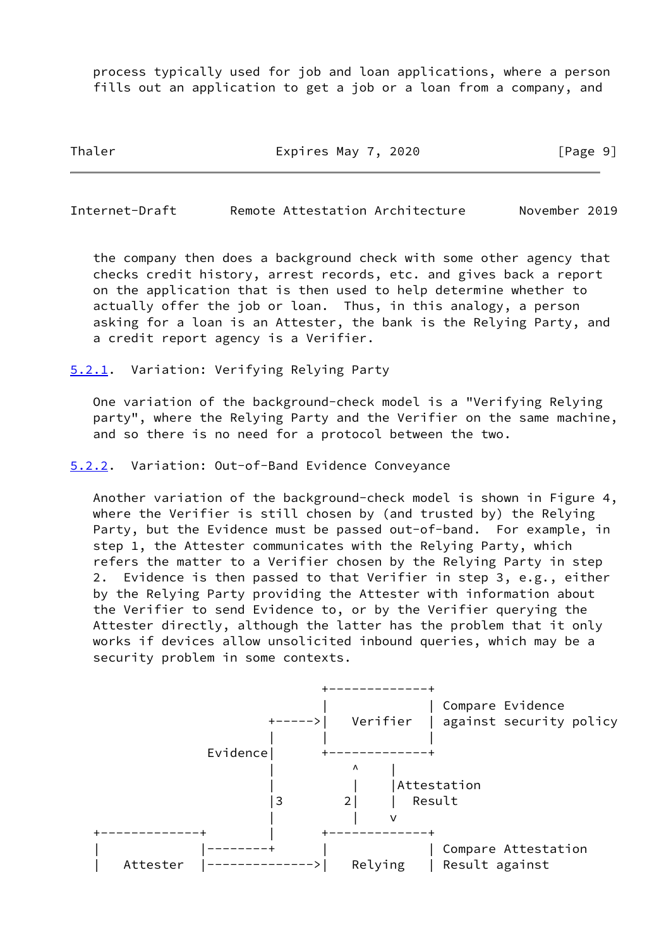process typically used for job and loan applications, where a person fills out an application to get a job or a loan from a company, and

Thaler **Expires May 7, 2020** [Page 9]

<span id="page-10-1"></span>Internet-Draft Remote Attestation Architecture November 2019

 the company then does a background check with some other agency that checks credit history, arrest records, etc. and gives back a report on the application that is then used to help determine whether to actually offer the job or loan. Thus, in this analogy, a person asking for a loan is an Attester, the bank is the Relying Party, and a credit report agency is a Verifier.

<span id="page-10-0"></span>[5.2.1](#page-10-0). Variation: Verifying Relying Party

 One variation of the background-check model is a "Verifying Relying party", where the Relying Party and the Verifier on the same machine, and so there is no need for a protocol between the two.

<span id="page-10-2"></span>[5.2.2](#page-10-2). Variation: Out-of-Band Evidence Conveyance

 Another variation of the background-check model is shown in Figure 4, where the Verifier is still chosen by (and trusted by) the Relying Party, but the Evidence must be passed out-of-band. For example, in step 1, the Attester communicates with the Relying Party, which refers the matter to a Verifier chosen by the Relying Party in step 2. Evidence is then passed to that Verifier in step 3, e.g., either by the Relying Party providing the Attester with information about the Verifier to send Evidence to, or by the Verifier querying the Attester directly, although the latter has the problem that it only works if devices allow unsolicited inbound queries, which may be a security problem in some contexts.

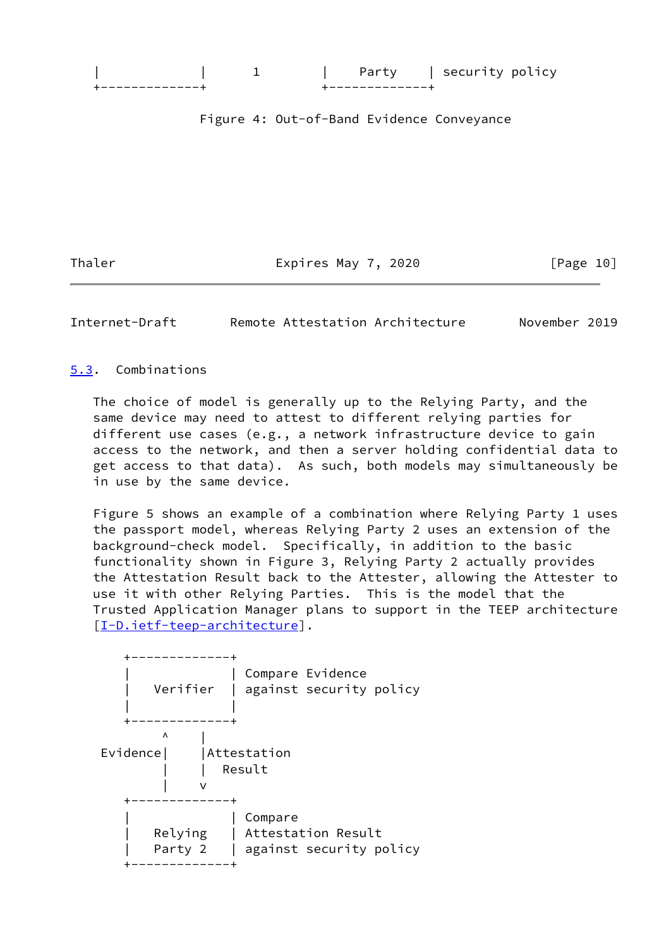

Figure 4: Out-of-Band Evidence Conveyance

Thaler **Expires May 7, 2020** [Page 10]

<span id="page-11-1"></span>Internet-Draft Remote Attestation Architecture November 2019

### <span id="page-11-0"></span>[5.3](#page-11-0). Combinations

 The choice of model is generally up to the Relying Party, and the same device may need to attest to different relying parties for different use cases (e.g., a network infrastructure device to gain access to the network, and then a server holding confidential data to get access to that data). As such, both models may simultaneously be in use by the same device.

 Figure 5 shows an example of a combination where Relying Party 1 uses the passport model, whereas Relying Party 2 uses an extension of the background-check model. Specifically, in addition to the basic functionality shown in Figure 3, Relying Party 2 actually provides the Attestation Result back to the Attester, allowing the Attester to use it with other Relying Parties. This is the model that the Trusted Application Manager plans to support in the TEEP architecture [\[I-D.ietf-teep-architecture\]](#page-15-6).

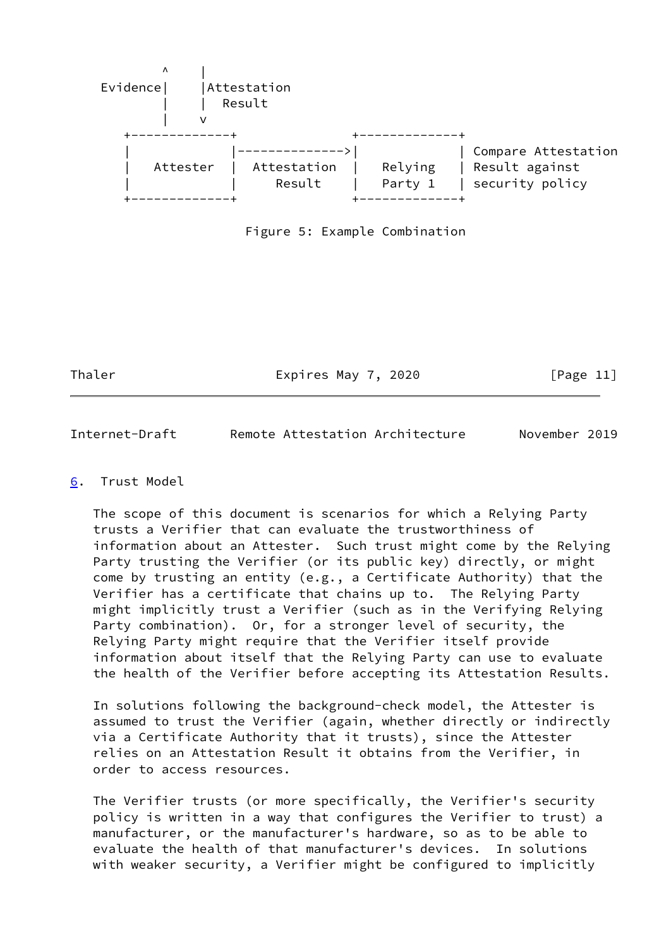

Figure 5: Example Combination

Thaler **Expires May 7, 2020** [Page 11]

<span id="page-12-1"></span>Internet-Draft Remote Attestation Architecture November 2019

## <span id="page-12-0"></span>[6](#page-12-0). Trust Model

 The scope of this document is scenarios for which a Relying Party trusts a Verifier that can evaluate the trustworthiness of information about an Attester. Such trust might come by the Relying Party trusting the Verifier (or its public key) directly, or might come by trusting an entity (e.g., a Certificate Authority) that the Verifier has a certificate that chains up to. The Relying Party might implicitly trust a Verifier (such as in the Verifying Relying Party combination). Or, for a stronger level of security, the Relying Party might require that the Verifier itself provide information about itself that the Relying Party can use to evaluate the health of the Verifier before accepting its Attestation Results.

 In solutions following the background-check model, the Attester is assumed to trust the Verifier (again, whether directly or indirectly via a Certificate Authority that it trusts), since the Attester relies on an Attestation Result it obtains from the Verifier, in order to access resources.

 The Verifier trusts (or more specifically, the Verifier's security policy is written in a way that configures the Verifier to trust) a manufacturer, or the manufacturer's hardware, so as to be able to evaluate the health of that manufacturer's devices. In solutions with weaker security, a Verifier might be configured to implicitly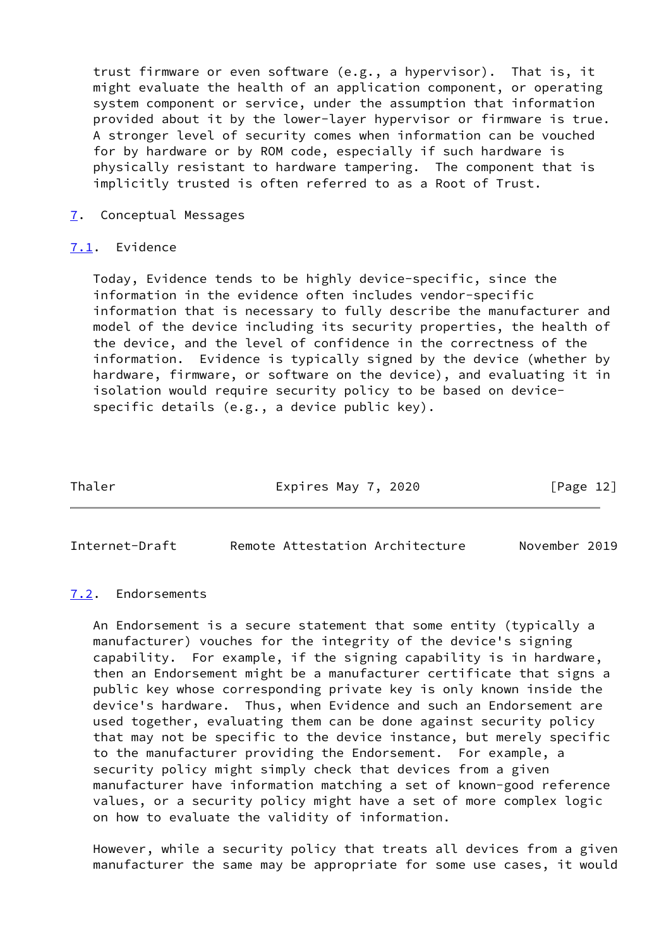trust firmware or even software (e.g., a hypervisor). That is, it might evaluate the health of an application component, or operating system component or service, under the assumption that information provided about it by the lower-layer hypervisor or firmware is true. A stronger level of security comes when information can be vouched for by hardware or by ROM code, especially if such hardware is physically resistant to hardware tampering. The component that is implicitly trusted is often referred to as a Root of Trust.

## <span id="page-13-0"></span>[7](#page-13-0). Conceptual Messages

#### <span id="page-13-1"></span>[7.1](#page-13-1). Evidence

 Today, Evidence tends to be highly device-specific, since the information in the evidence often includes vendor-specific information that is necessary to fully describe the manufacturer and model of the device including its security properties, the health of the device, and the level of confidence in the correctness of the information. Evidence is typically signed by the device (whether by hardware, firmware, or software on the device), and evaluating it in isolation would require security policy to be based on device specific details (e.g., a device public key).

Thaler **Expires May 7, 2020** [Page 12]

<span id="page-13-3"></span>Internet-Draft Remote Attestation Architecture November 2019

#### <span id="page-13-2"></span>[7.2](#page-13-2). Endorsements

 An Endorsement is a secure statement that some entity (typically a manufacturer) vouches for the integrity of the device's signing capability. For example, if the signing capability is in hardware, then an Endorsement might be a manufacturer certificate that signs a public key whose corresponding private key is only known inside the device's hardware. Thus, when Evidence and such an Endorsement are used together, evaluating them can be done against security policy that may not be specific to the device instance, but merely specific to the manufacturer providing the Endorsement. For example, a security policy might simply check that devices from a given manufacturer have information matching a set of known-good reference values, or a security policy might have a set of more complex logic on how to evaluate the validity of information.

 However, while a security policy that treats all devices from a given manufacturer the same may be appropriate for some use cases, it would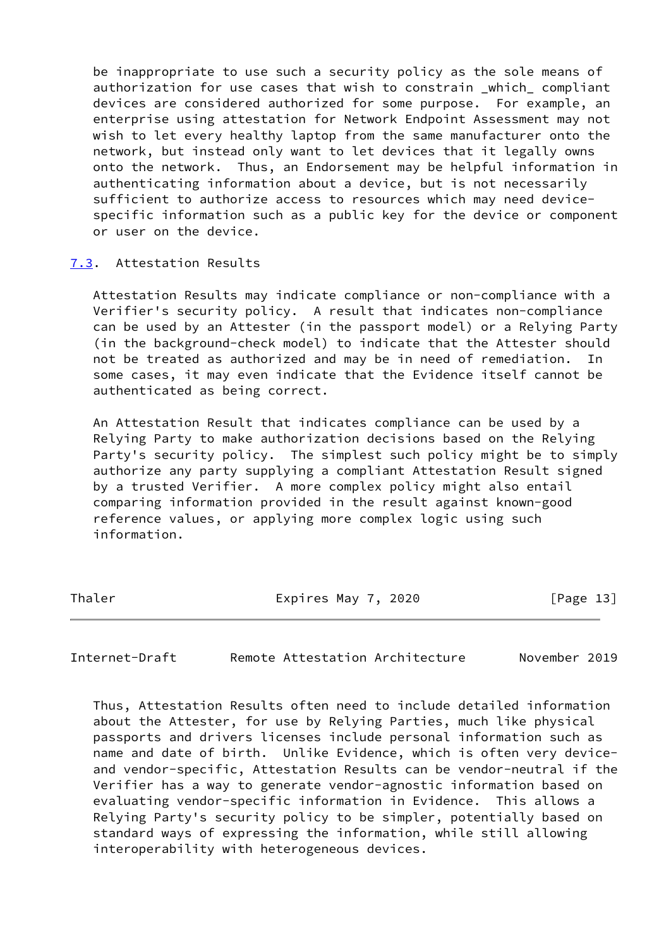be inappropriate to use such a security policy as the sole means of authorization for use cases that wish to constrain \_which\_ compliant devices are considered authorized for some purpose. For example, an enterprise using attestation for Network Endpoint Assessment may not wish to let every healthy laptop from the same manufacturer onto the network, but instead only want to let devices that it legally owns onto the network. Thus, an Endorsement may be helpful information in authenticating information about a device, but is not necessarily sufficient to authorize access to resources which may need device specific information such as a public key for the device or component or user on the device.

#### <span id="page-14-0"></span>[7.3](#page-14-0). Attestation Results

 Attestation Results may indicate compliance or non-compliance with a Verifier's security policy. A result that indicates non-compliance can be used by an Attester (in the passport model) or a Relying Party (in the background-check model) to indicate that the Attester should not be treated as authorized and may be in need of remediation. In some cases, it may even indicate that the Evidence itself cannot be authenticated as being correct.

 An Attestation Result that indicates compliance can be used by a Relying Party to make authorization decisions based on the Relying Party's security policy. The simplest such policy might be to simply authorize any party supplying a compliant Attestation Result signed by a trusted Verifier. A more complex policy might also entail comparing information provided in the result against known-good reference values, or applying more complex logic using such information.

Thaler **Expires May 7, 2020** [Page 13]

<span id="page-14-1"></span>Internet-Draft Remote Attestation Architecture November 2019

 Thus, Attestation Results often need to include detailed information about the Attester, for use by Relying Parties, much like physical passports and drivers licenses include personal information such as name and date of birth. Unlike Evidence, which is often very device and vendor-specific, Attestation Results can be vendor-neutral if the Verifier has a way to generate vendor-agnostic information based on evaluating vendor-specific information in Evidence. This allows a Relying Party's security policy to be simpler, potentially based on standard ways of expressing the information, while still allowing interoperability with heterogeneous devices.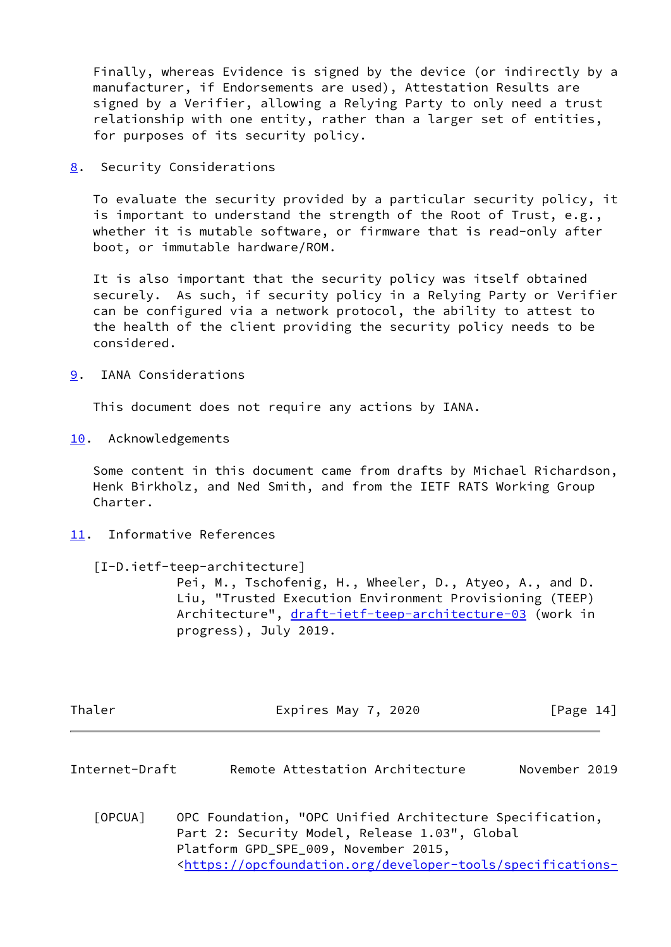Finally, whereas Evidence is signed by the device (or indirectly by a manufacturer, if Endorsements are used), Attestation Results are signed by a Verifier, allowing a Relying Party to only need a trust relationship with one entity, rather than a larger set of entities, for purposes of its security policy.

<span id="page-15-0"></span>[8](#page-15-0). Security Considerations

 To evaluate the security provided by a particular security policy, it is important to understand the strength of the Root of Trust, e.g., whether it is mutable software, or firmware that is read-only after boot, or immutable hardware/ROM.

 It is also important that the security policy was itself obtained securely. As such, if security policy in a Relying Party or Verifier can be configured via a network protocol, the ability to attest to the health of the client providing the security policy needs to be considered.

<span id="page-15-1"></span>[9](#page-15-1). IANA Considerations

This document does not require any actions by IANA.

<span id="page-15-2"></span>[10.](#page-15-2) Acknowledgements

 Some content in this document came from drafts by Michael Richardson, Henk Birkholz, and Ned Smith, and from the IETF RATS Working Group Charter.

<span id="page-15-3"></span>[11.](#page-15-3) Informative References

<span id="page-15-6"></span>[I-D.ietf-teep-architecture]

 Pei, M., Tschofenig, H., Wheeler, D., Atyeo, A., and D. Liu, "Trusted Execution Environment Provisioning (TEEP) Architecture", [draft-ietf-teep-architecture-03](https://datatracker.ietf.org/doc/pdf/draft-ietf-teep-architecture-03) (work in progress), July 2019.

| Thaler | Expires May 7, 2020 | [Page 14] |  |
|--------|---------------------|-----------|--|
|        |                     |           |  |

<span id="page-15-4"></span>Internet-Draft Remote Attestation Architecture November 2019

<span id="page-15-5"></span> [OPCUA] OPC Foundation, "OPC Unified Architecture Specification, Part 2: Security Model, Release 1.03", Global Platform GPD\_SPE\_009, November 2015, <[https://opcfoundation.org/developer-tools/specifications-](https://opcfoundation.org/developer-tools/specifications-unified-architecture/part-2-security-model/)